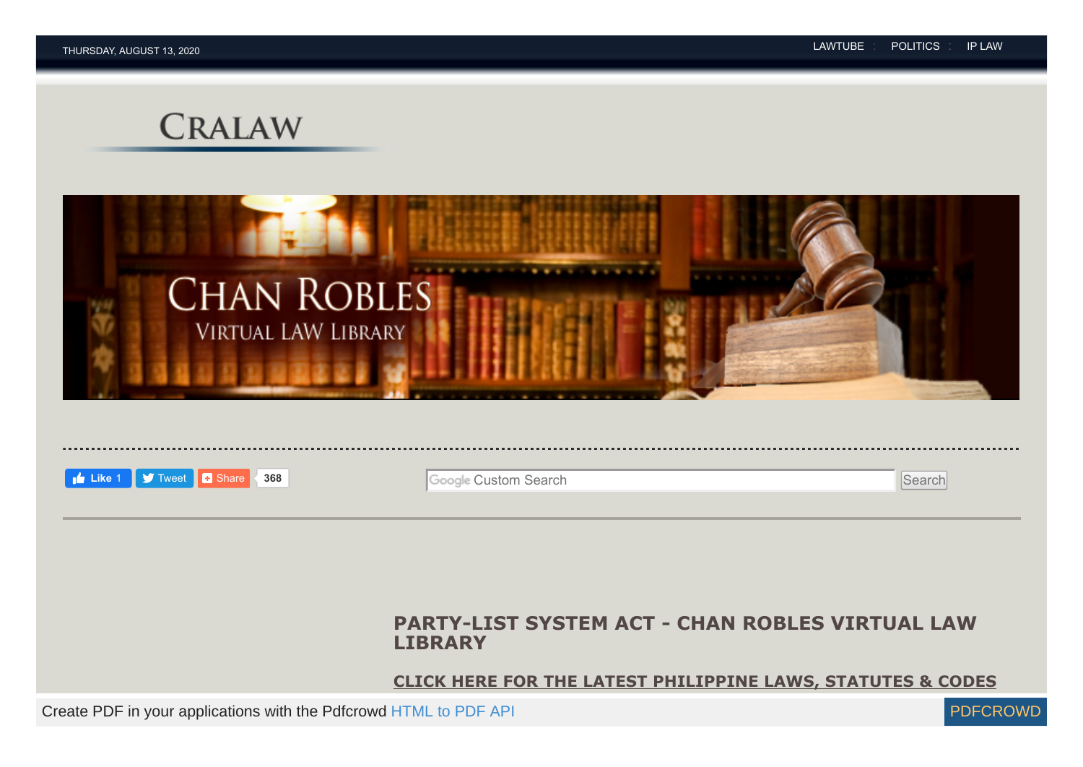# **CRALAW**





## **PARTY-LIST SYSTEM ACT - CHAN ROBLES VIRTUAL LAW LIBRARY**

**[CLICK HERE FOR THE LATEST PHILIPPINE LAWS, STATUTES & CODES](http://lawlibrary.chanrobles.com/index.php?option=com_content&view=category&id=89&Itemid=729)**

Create PDF in your applications with the Pdfcrowd [HTML to PDF API](https://pdfcrowd.com/doc/api/?ref=pdf) PUT API PUT API [PDFCROWD](https://pdfcrowd.com/?ref=pdf)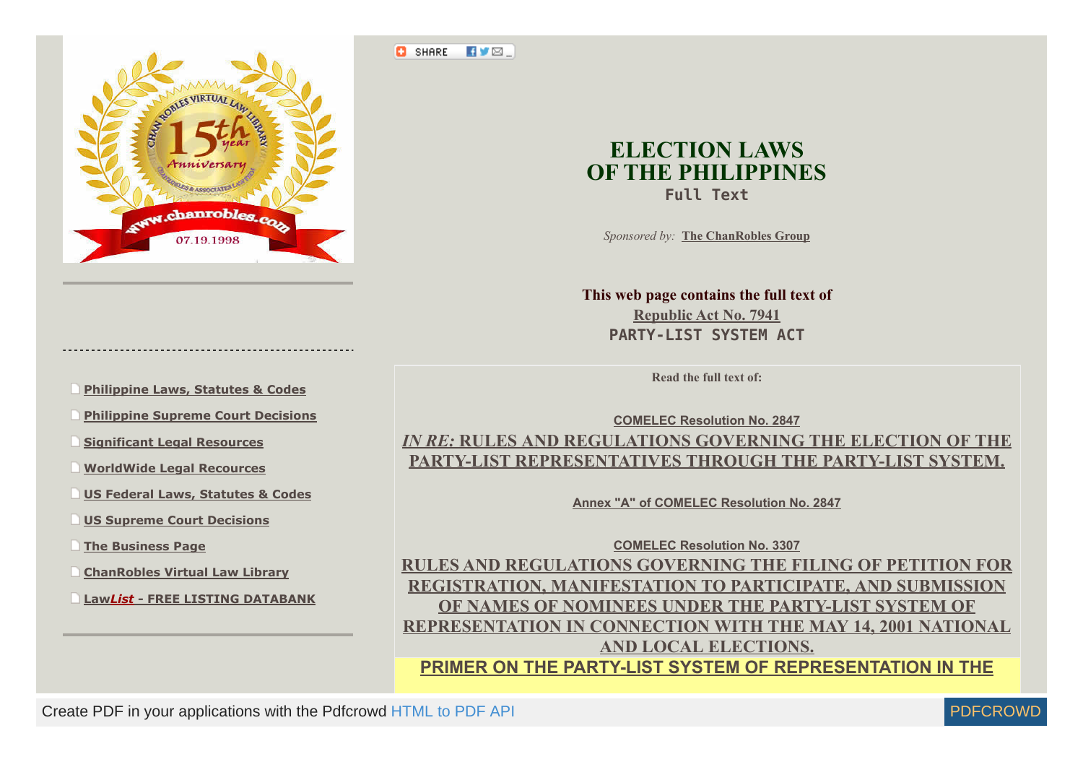

- **[Philippine Laws, Statutes & Codes](https://www.chanrobles.com/otherlaws.htm)**
- **[Philippine Supreme Court Decisions](http://supreme.chanrobles.com/)**
- **[Significant Legal Resources](https://www.chanrobles.com/significantphilippinelegalresources.htm)**
- **[WorldWide Legal Recources](https://www.chanrobles.com/worldwidelegalresources.htm)**
- **[US Federal Laws, Statutes & Codes](https://www.chanrobles.com/usa/uslaws/)**
- **[US Supreme Court Decisions](https://www.chanrobles.com/usa/us_supremecourt/)**
- **[The Business Page](https://www.chanrobles.com/businesspage.htm)**
- **[ChanRobles Virtual Law Library](https://www.chanrobles.com/index1.html)**
- **Law***List* **[FREE LISTING DATABANK](http://lawlist.chanrobles.com/)**

<span id="page-1-0"></span>**EVE C** SHARE



*Sponsored by:* **[The ChanRobles Group](https://www.chanrobles.com/legal8.htm)**

**This web page contains the full text of Republic Act No. 7941 PARTY-LIST SYSTEM ACT**

**Read the full text of:**

**[COMELEC Resolution No. 2847](https://www.chanrobles.com/comelecresolutiono2847.htm)** *IN RE:* **RULES AND REGULATIONS GOVERNING THE ELECTION OF THE [PARTY-LIST REPRESENTATIVES THROUGH THE PARTY-LIST SYSTEM.](https://www.chanrobles.com/comelecresolutiono2847.htm)**

**[Annex "A" of COMELEC Resolution No. 2847](https://www.chanrobles.com/comelecresolutiono2847annexa.htm)**

**[COMELEC Resolution No. 3307](https://www.chanrobles.com/comelecresolutiono3307.htm) [RULES AND REGULATIONS GOVERNING THE FILING OF PETITION FOR](https://www.chanrobles.com/comelecresolutiono3307.htm) REGISTRATION, MANIFESTATION TO PARTICIPATE, AND SUBMISSION OF NAMES OF NOMINEES UNDER THE PARTY-LIST SYSTEM OF REPRESENTATION IN CONNECTION WITH THE MAY 14, 2001 NATIONAL AND LOCAL ELECTIONS.**

**[PRIMER ON THE PARTY-LIST SYSTEM OF REPRESENTATION IN THE](https://www.chanrobles.com/republicactno7941primer.htm)**

Create PDF in your applications with the Pdfcrowd [HTML to PDF API](https://pdfcrowd.com/doc/api/?ref=pdf) [PDFCROWD](https://pdfcrowd.com/?ref=pdf) CREATED AND THE POFCROWD

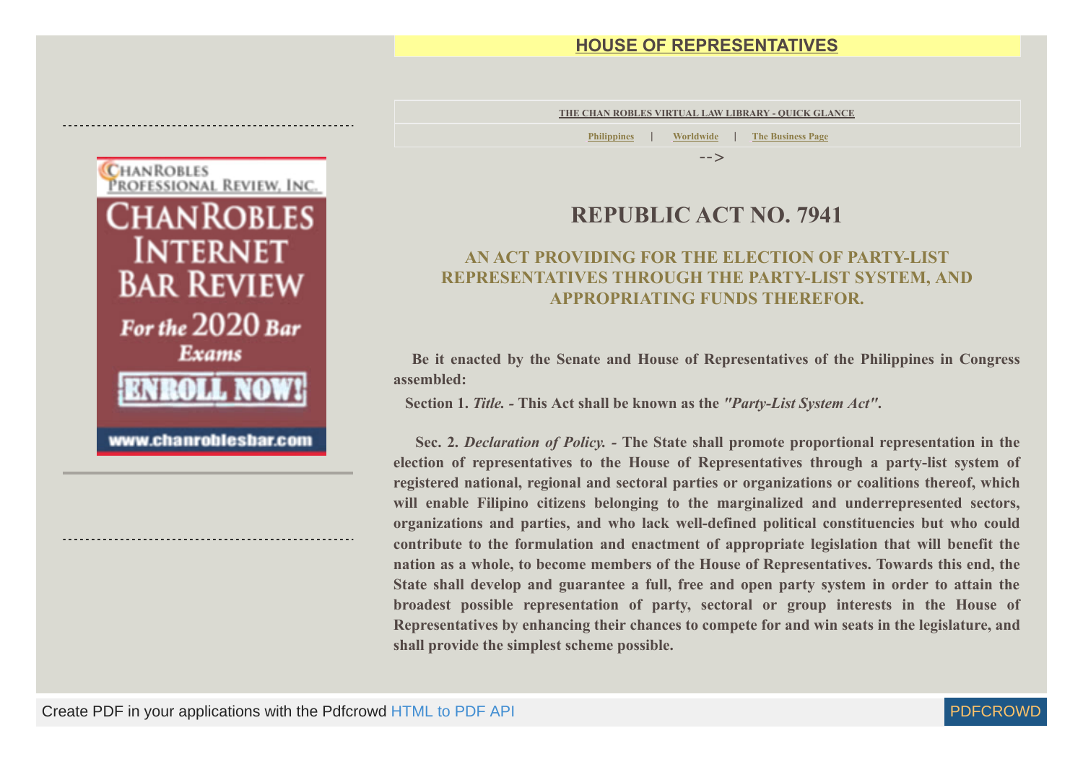### **[HOUSE OF REPRESENTATIVES](https://www.chanrobles.com/republicactno7941primer.htm)**

**[THE CHAN ROBLES VIRTUAL LAW LIBRARY - QUICK GLANCE](https://www.chanrobles.com/virtualibrary.htm)**

**[Philippines](https://www.chanrobles.com/virtualibrary1.htm)** | **[Worldwide](https://www.chanrobles.com/legal2ab.htm)** | **[The Business Page](https://www.chanrobles.com/virtualibrary2.htm)**

-->

## **REPUBLIC ACT NO. 7941**

### **AN ACT PROVIDING FOR THE ELECTION OF PARTY-LIST REPRESENTATIVES THROUGH THE PARTY-LIST SYSTEM, AND APPROPRIATING FUNDS THEREFOR.**

**Be it enacted by the Senate and House of Representatives of the Philippines in Congress assembled:**

 **Section 1.** *Title. -* **This Act shall be known as the** *"Party-List System Act"***.**

**Sec. 2.** *Declaration of Policy. -* **The State shall promote proportional representation in the election of representatives to the House of Representatives through a party-list system of registered national, regional and sectoral parties or organizations or coalitions thereof, which will enable Filipino citizens belonging to the marginalized and underrepresented sectors, organizations and parties, and who lack well-defined political constituencies but who could contribute to the formulation and enactment of appropriate legislation that will benefit the nation as a whole, to become members of the House of Representatives. Towards this end, the State shall develop and guarantee a full, free and open party system in order to attain the broadest possible representation of party, sectoral or group interests in the House of Representatives by enhancing their chances to compete for and win seats in the legislature, and shall provide the simplest scheme possible.**



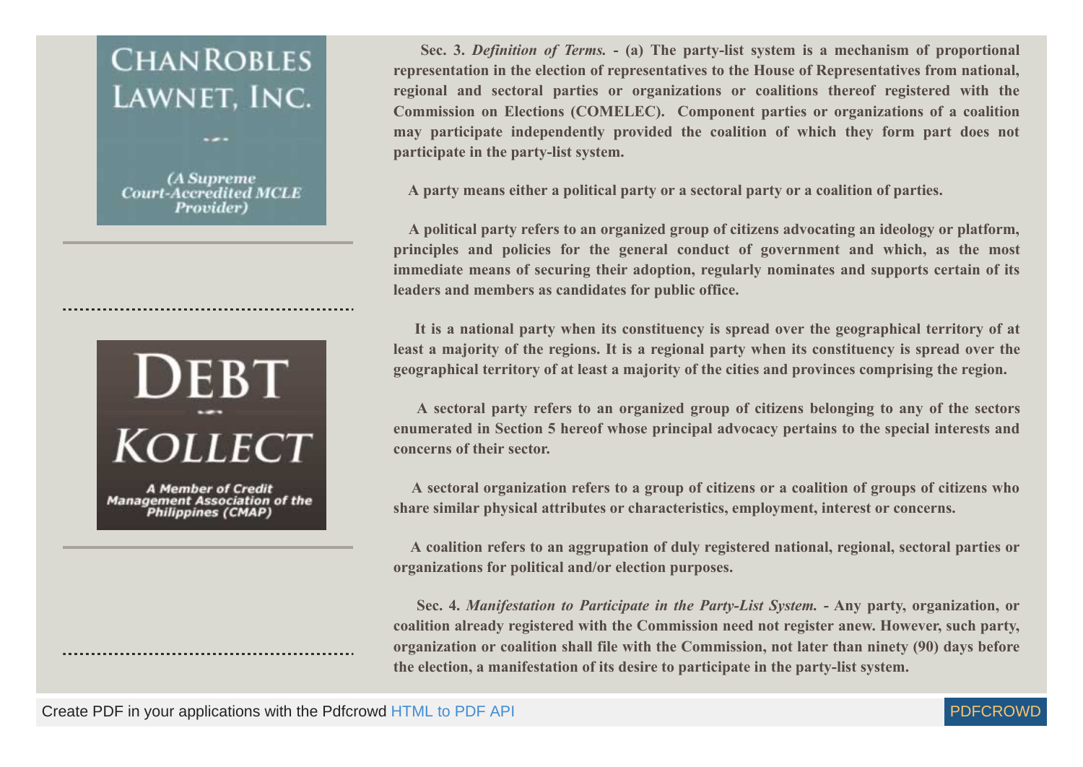# **CHANROBLES** LAWNET, INC.

(A Supreme **Court-Accredited MCLE Provider**)



**A Member of Credit Management Association of the Philippines (CMAP)** 

**Sec. 3.** *Definition of Terms.* **- (a) The party-list system is a mechanism of proportional representation in the election of representatives to the House of Representatives from national, regional and sectoral parties or organizations or coalitions thereof registered with the Commission on Elections (COMELEC). Component parties or organizations of a coalition may participate independently provided the coalition of which they form part does not participate in the party-list system.**

 **A party means either a political party or a sectoral party or a coalition of parties.**

**A political party refers to an organized group of citizens advocating an ideology or platform, principles and policies for the general conduct of government and which, as the most immediate means of securing their adoption, regularly nominates and supports certain of its leaders and members as candidates for public office.**

**It is a national party when its constituency is spread over the geographical territory of at least a majority of the regions. It is a regional party when its constituency is spread over the geographical territory of at least a majority of the cities and provinces comprising the region.**

**A sectoral party refers to an organized group of citizens belonging to any of the sectors enumerated in Section 5 hereof whose principal advocacy pertains to the special interests and concerns of their sector.**

**A sectoral organization refers to a group of citizens or a coalition of groups of citizens who share similar physical attributes or characteristics, employment, interest or concerns.**

**A coalition refers to an aggrupation of duly registered national, regional, sectoral parties or organizations for political and/or election purposes.**

**Sec. 4.** *Manifestation to Participate in the Party-List System.* **- Any party, organization, or coalition already registered with the Commission need not register anew. However, such party, organization or coalition shall file with the Commission, not later than ninety (90) days before the election, a manifestation of its desire to participate in the party-list system.**

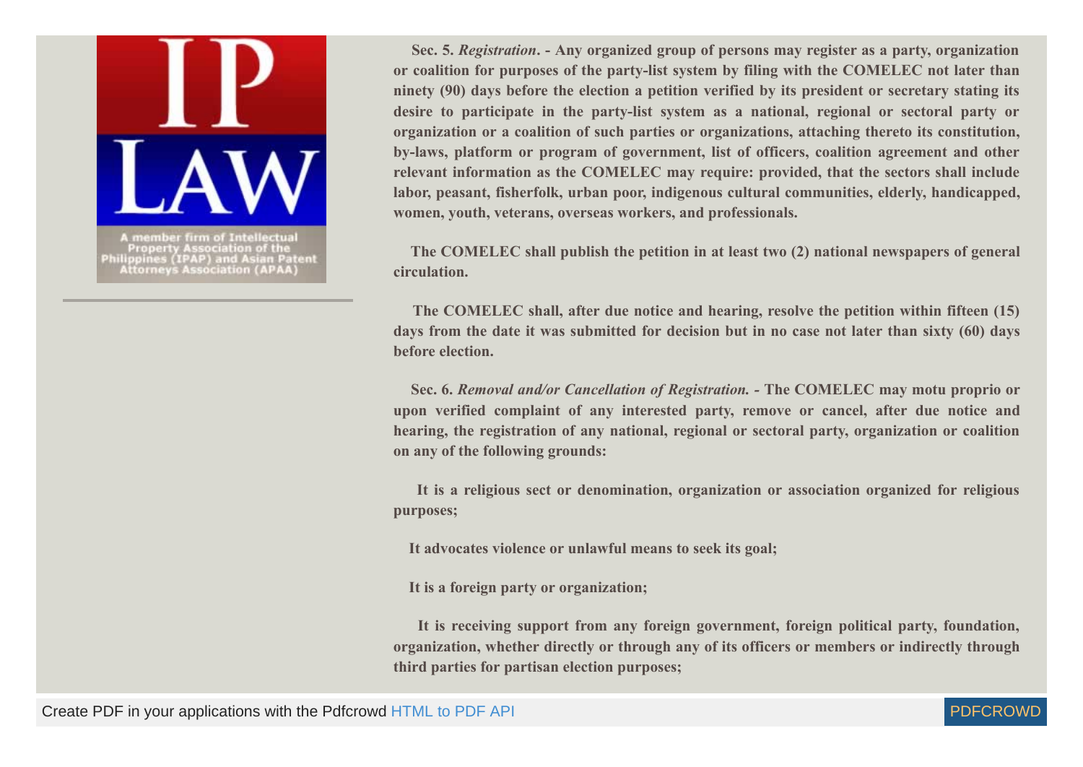

**Sec. 5.** *Registration***. - Any organized group of persons may register as a party, organization or coalition for purposes of the party-list system by filing with the COMELEC not later than ninety (90) days before the election a petition verified by its president or secretary stating its desire to participate in the party-list system as a national, regional or sectoral party or organization or a coalition of such parties or organizations, attaching thereto its constitution, by-laws, platform or program of government, list of officers, coalition agreement and other relevant information as the COMELEC may require: provided, that the sectors shall include labor, peasant, fisherfolk, urban poor, indigenous cultural communities, elderly, handicapped, women, youth, veterans, overseas workers, and professionals.**

**The COMELEC shall publish the petition in at least two (2) national newspapers of general circulation.**

**The COMELEC shall, after due notice and hearing, resolve the petition within fifteen (15) days from the date it was submitted for decision but in no case not later than sixty (60) days before election.**

**Sec. 6.** *Removal and/or Cancellation of Registration. -* **The COMELEC may motu proprio or upon verified complaint of any interested party, remove or cancel, after due notice and hearing, the registration of any national, regional or sectoral party, organization or coalition on any of the following grounds:**

**It is a religious sect or denomination, organization or association organized for religious purposes;**

 **It advocates violence or unlawful means to seek its goal;**

 **It is a foreign party or organization;**

**It is receiving support from any foreign government, foreign political party, foundation, organization, whether directly or through any of its officers or members or indirectly through third parties for partisan election purposes;**

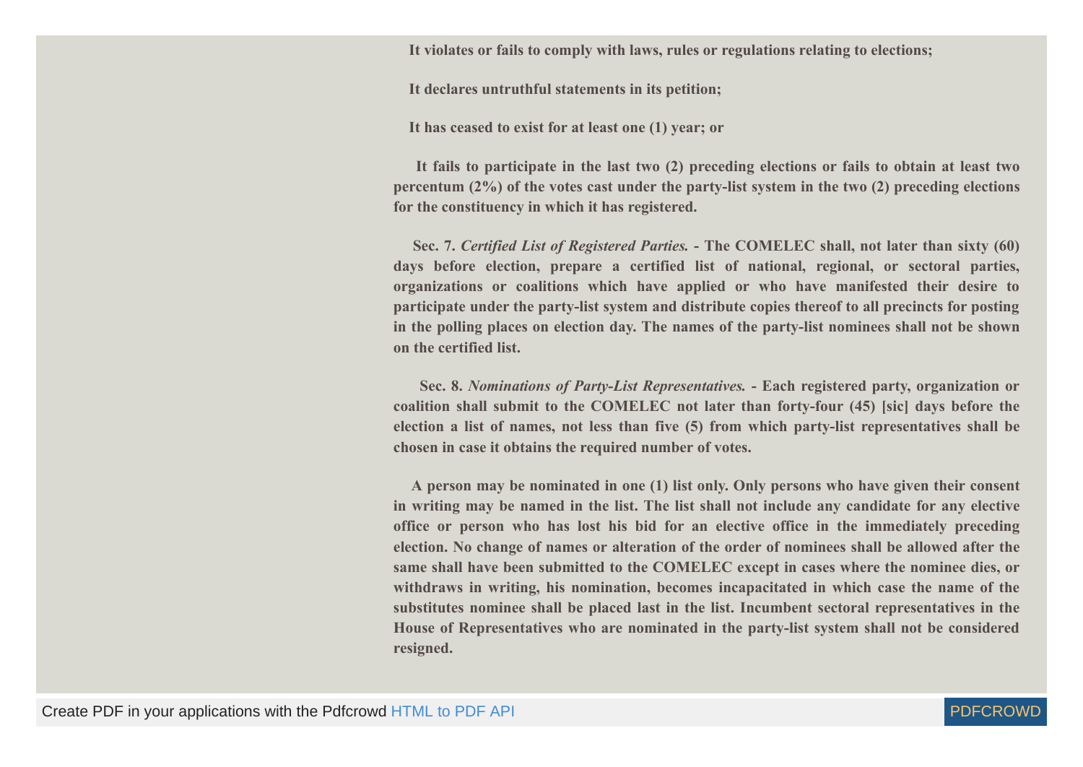**It violates or fails to comply with laws, rules or regulations relating to elections;**

 **It declares untruthful statements in its petition;**

 **It has ceased to exist for at least one (1) year; or**

**It fails to participate in the last two (2) preceding elections or fails to obtain at least two percentum (2%) of the votes cast under the party-list system in the two (2) preceding elections for the constituency in which it has registered.**

**Sec. 7.** *Certified List of Registered Parties.* **- The COMELEC shall, not later than sixty (60) days before election, prepare a certified list of national, regional, or sectoral parties, organizations or coalitions which have applied or who have manifested their desire to participate under the party-list system and distribute copies thereof to all precincts for posting in the polling places on election day. The names of the party-list nominees shall not be shown on the certified list.**

**Sec. 8.** *Nominations of Party-List Representatives.* **- Each registered party, organization or coalition shall submit to the COMELEC not later than forty-four (45) [sic] days before the election a list of names, not less than five (5) from which party-list representatives shall be chosen in case it obtains the required number of votes.**

**A person may be nominated in one (1) list only. Only persons who have given their consent in writing may be named in the list. The list shall not include any candidate for any elective office or person who has lost his bid for an elective office in the immediately preceding election. No change of names or alteration of the order of nominees shall be allowed after the same shall have been submitted to the COMELEC except in cases where the nominee dies, or withdraws in writing, his nomination, becomes incapacitated in which case the name of the substitutes nominee shall be placed last in the list. Incumbent sectoral representatives in the House of Representatives who are nominated in the party-list system shall not be considered resigned.**

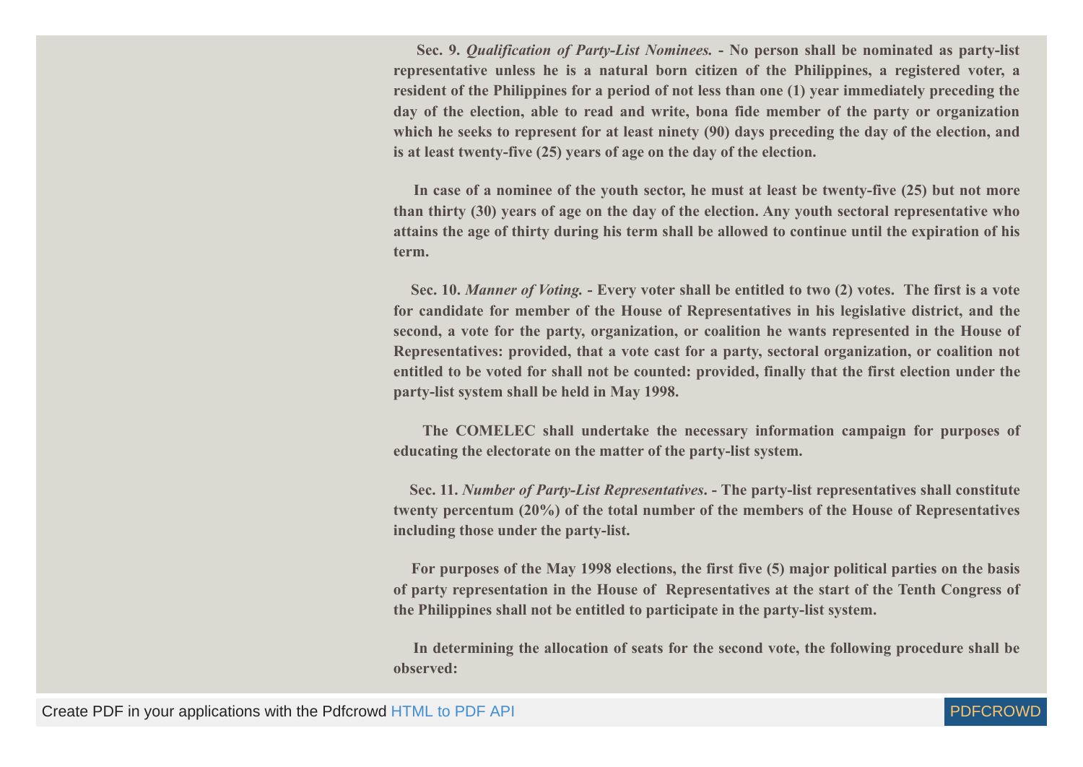**Sec. 9.** *Qualification of Party-List Nominees.* **- No person shall be nominated as party-list representative unless he is a natural born citizen of the Philippines, a registered voter, a resident of the Philippines for a period of not less than one (1) year immediately preceding the day of the election, able to read and write, bona fide member of the party or organization which he seeks to represent for at least ninety (90) days preceding the day of the election, and is at least twenty-five (25) years of age on the day of the election.**

**In case of a nominee of the youth sector, he must at least be twenty-five (25) but not more than thirty (30) years of age on the day of the election. Any youth sectoral representative who attains the age of thirty during his term shall be allowed to continue until the expiration of his term.**

**Sec. 10.** *Manner of Voting.* **- Every voter shall be entitled to two (2) votes. The first is a vote for candidate for member of the House of Representatives in his legislative district, and the second, a vote for the party, organization, or coalition he wants represented in the House of Representatives: provided, that a vote cast for a party, sectoral organization, or coalition not entitled to be voted for shall not be counted: provided, finally that the first election under the party-list system shall be held in May 1998.**

**The COMELEC shall undertake the necessary information campaign for purposes of educating the electorate on the matter of the party-list system.**

**Sec. 11.** *Number of Party-List Representatives***. - The party-list representatives shall constitute twenty percentum (20%) of the total number of the members of the House of Representatives including those under the party-list.**

**For purposes of the May 1998 elections, the first five (5) major political parties on the basis of party representation in the House of Representatives at the start of the Tenth Congress of the Philippines shall not be entitled to participate in the party-list system.**

**In determining the allocation of seats for the second vote, the following procedure shall be observed:**

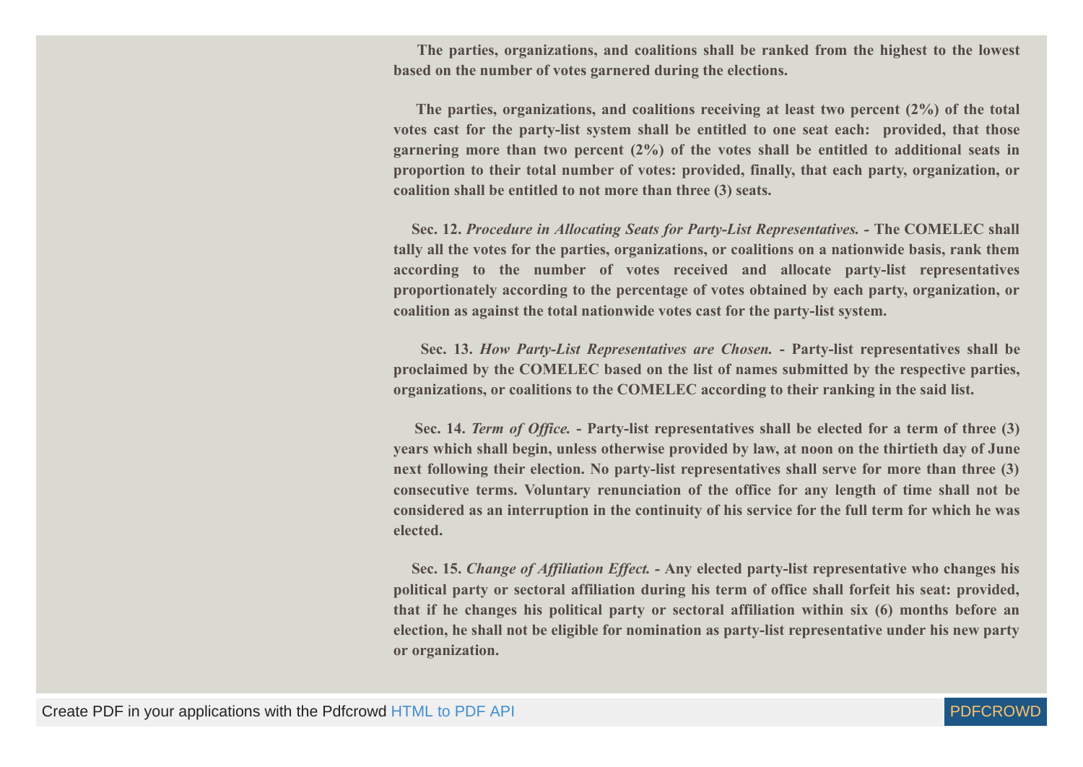**The parties, organizations, and coalitions shall be ranked from the highest to the lowest based on the number of votes garnered during the elections.**

**The parties, organizations, and coalitions receiving at least two percent (2%) of the total votes cast for the party-list system shall be entitled to one seat each: provided, that those garnering more than two percent (2%) of the votes shall be entitled to additional seats in proportion to their total number of votes: provided, finally, that each party, organization, or coalition shall be entitled to not more than three (3) seats.**

**Sec. 12.** *Procedure in Allocating Seats for Party-List Representatives. -* **The COMELEC shall tally all the votes for the parties, organizations, or coalitions on a nationwide basis, rank them according to the number of votes received and allocate party-list representatives proportionately according to the percentage of votes obtained by each party, organization, or coalition as against the total nationwide votes cast for the party-list system.**

**Sec. 13.** *How Party-List Representatives are Chosen.* **- Party-list representatives shall be proclaimed by the COMELEC based on the list of names submitted by the respective parties, organizations, or coalitions to the COMELEC according to their ranking in the said list.**

**Sec. 14.** *Term of Office.* **- Party-list representatives shall be elected for a term of three (3) years which shall begin, unless otherwise provided by law, at noon on the thirtieth day of June next following their election. No party-list representatives shall serve for more than three (3) consecutive terms. Voluntary renunciation of the office for any length of time shall not be considered as an interruption in the continuity of his service for the full term for which he was elected.**

**Sec. 15.** *Change of Affiliation Effect. -* **Any elected party-list representative who changes his political party or sectoral affiliation during his term of office shall forfeit his seat: provided, that if he changes his political party or sectoral affiliation within six (6) months before an election, he shall not be eligible for nomination as party-list representative under his new party or organization.**

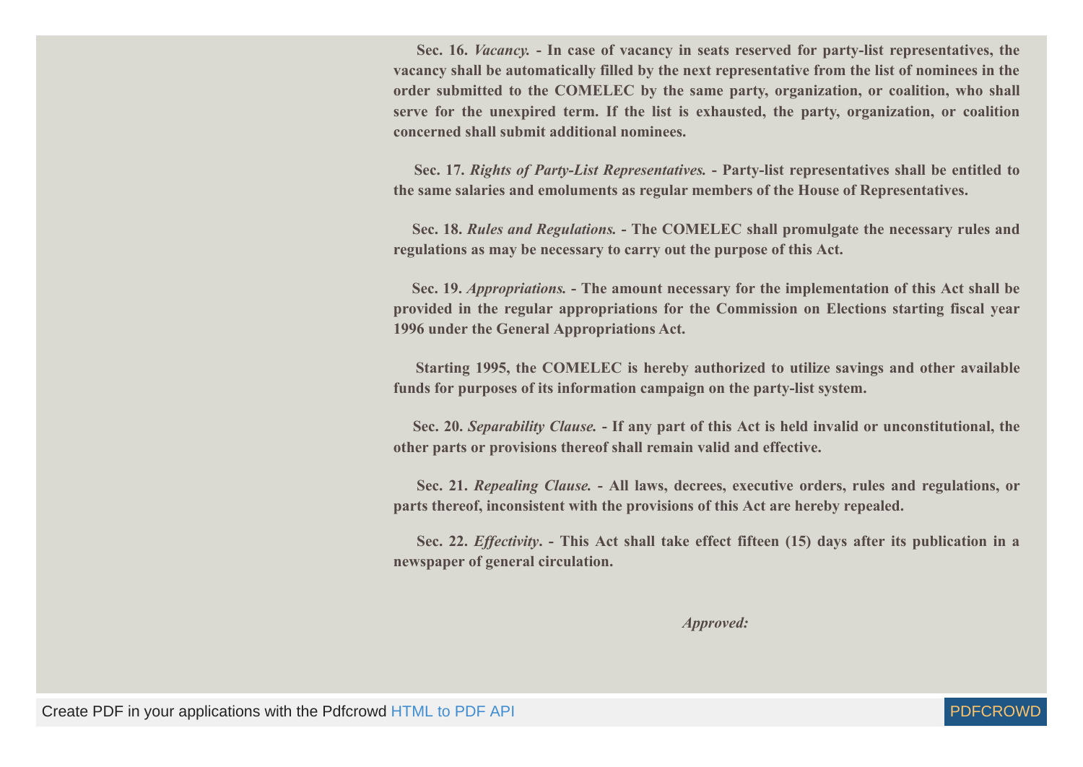**Sec. 16.** *Vacancy.* **- In case of vacancy in seats reserved for party-list representatives, the vacancy shall be automatically filled by the next representative from the list of nominees in the order submitted to the COMELEC by the same party, organization, or coalition, who shall serve for the unexpired term. If the list is exhausted, the party, organization, or coalition concerned shall submit additional nominees.**

**Sec. 17.** *Rights of Party-List Representatives.* **- Party-list representatives shall be entitled to the same salaries and emoluments as regular members of the House of Representatives.**

**Sec. 18.** *Rules and Regulations.* **- The COMELEC shall promulgate the necessary rules and regulations as may be necessary to carry out the purpose of this Act.**

**Sec. 19.** *Appropriations.* **- The amount necessary for the implementation of this Act shall be provided in the regular appropriations for the Commission on Elections starting fiscal year 1996 under the General Appropriations Act.**

**Starting 1995, the COMELEC is hereby authorized to utilize savings and other available funds for purposes of its information campaign on the party-list system.**

**Sec. 20.** *Separability Clause.* **- If any part of this Act is held invalid or unconstitutional, the other parts or provisions thereof shall remain valid and effective.**

**Sec. 21.** *Repealing Clause.* **- All laws, decrees, executive orders, rules and regulations, or parts thereof, inconsistent with the provisions of this Act are hereby repealed.**

**Sec. 22.** *Effectivity***. - This Act shall take effect fifteen (15) days after its publication in a newspaper of general circulation.**

 *Approved:*

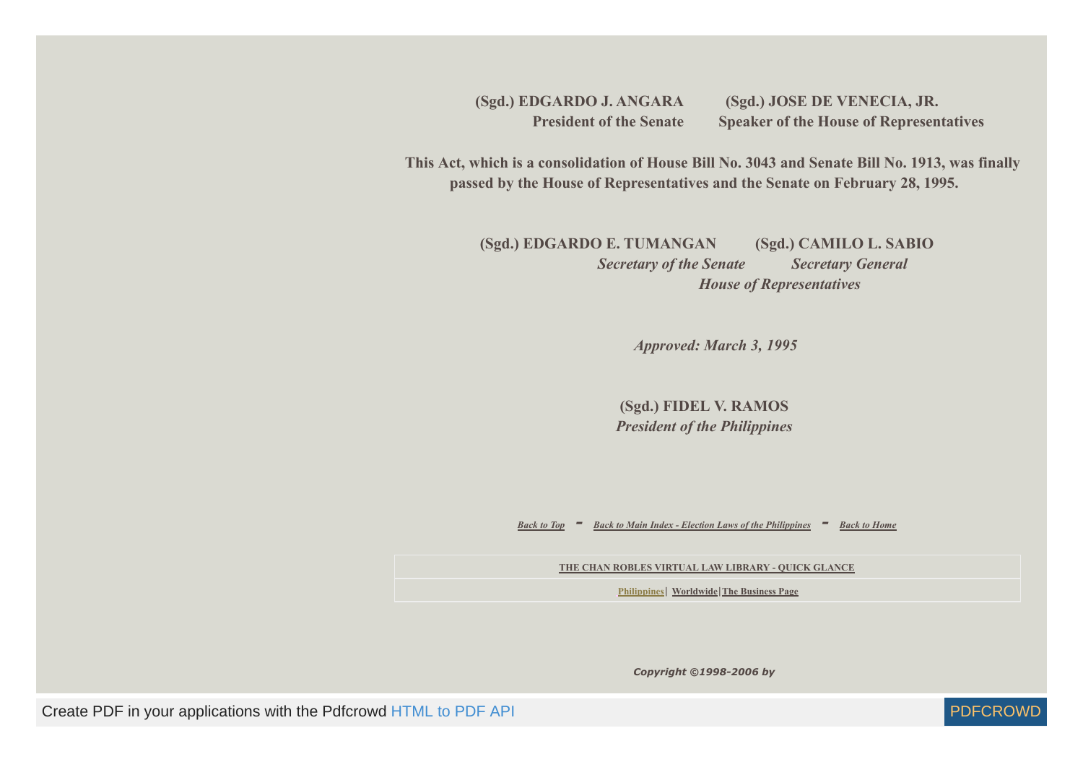**(Sgd.) EDGARDO J. ANGARA (Sgd.) JOSE DE VENECIA, JR. President of the Senate Speaker of the House of Representatives** 

 **This Act, which is a consolidation of House Bill No. 3043 and Senate Bill No. 1913, was finally passed by the House of Representatives and the Senate on February 28, 1995.**

> **(Sgd.) EDGARDO E. TUMANGAN (Sgd.) CAMILO L. SABIO**  *Secretary of the Senate Secretary General House of Representatives*

> > *Approved: March 3, 1995*

**(Sgd.) FIDEL V. RAMOS** *President of the Philippines*

*[Back to Top](#page-1-0) - [Back to Main Index - Election Laws of the Philippines](https://www.chanrobles.com/electionlawsofthephilippines.htm) - [Back to Home](https://www.chanrobles.com/index.htm)*

**[THE CHAN ROBLES VIRTUAL LAW LIBRARY - QUICK GLANCE](https://www.chanrobles.com/virtualibrary.htm)**

**[Philippines](https://www.chanrobles.com/virtualibrary1.htm)**| **[Worldwide](https://www.chanrobles.com/legal2ab.htm)**|**[The Business Page](https://www.chanrobles.com/virtualibrary2.htm)**

*Copyright ©1998-2006 by*

Create PDF in your applications with the Pdfcrowd [HTML to PDF API](https://pdfcrowd.com/doc/api/?ref=pdf) PDF API [PDFCROWD](https://pdfcrowd.com/?ref=pdf) PDFCROWD

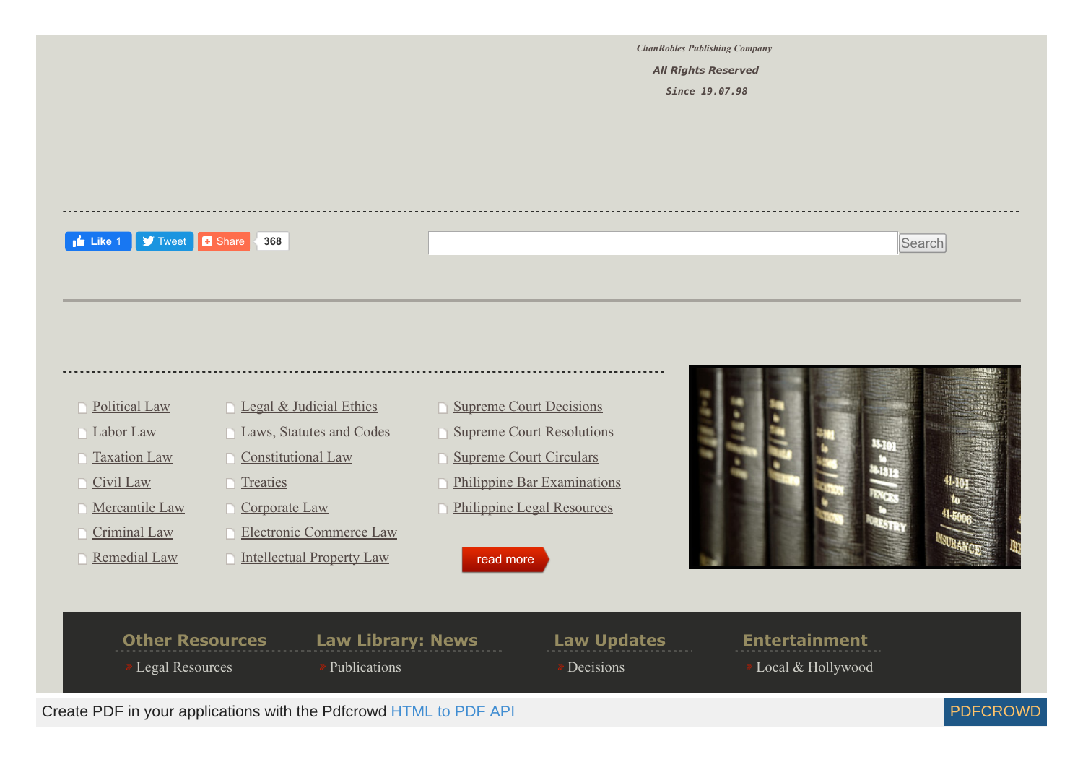*[ChanRobles Publishing Company](https://www.chanrobles.com/copyrightnotice.htm)*

 *All Rights Reserved*

*Since 19.07.98*

#### **[Tweet](https://twitter.com/intent/tweet?original_referer=https%3A%2F%2Fwww.chanrobles.com%2Frepublicactno7941.htm&ref_src=twsrc%5Etfw&text=PARTY-LIST%20SYSTEM%20ACT%20-%20CHAN%20ROBLES%20VIRTUAL%20LAW%20LIBRARY%3A&tw_p=tweetbutton&url=https%3A%2F%2Fwww.chanrobles.com%2Frepublicactno7941.htm%23.XzV8yTSaCHO.twitter) D** Share **Like** 1 **S** Tweet **1** Share **368** Search

### **[Political Law](https://www.chanrobles.com/philippinepoliticalaw.htm)**

- □ [Labor Law](https://www.chanrobles.com/legal4.htm)
- □ [Taxation Law](https://www.chanrobles.com/legal6.htm)
- □ [Civil Law](https://www.chanrobles.com/philippinecivilaw.htm)
- **Nercantile Law**
- [Criminal Law](https://www.chanrobles.com/philippinecriminalaw.htm) n
- [Remedial Law](https://www.chanrobles.com/philippineremedialaw.htm)
- **[Legal & Judicial Ethics](https://www.chanrobles.com/philippinelegalandjudicialethics.htm)** 
	- **Laws**, Statutes and Codes
	- **[Constitutional Law](https://www.chanrobles.com/philippinepoliticalaw.htm)**
	- $\Box$  [Treaties](https://www.chanrobles.com/rpusrelations.htm)
	- **[Corporate Law](https://www.chanrobles.com/legal5.htm)**
	- [Electronic Commerce Law](https://www.chanrobles.com/legal5.htm) F
	- **[Intellectual Property Law](https://www.chanrobles.com/legal7.htm)**
- **[Supreme Court Decisions](http://supreme.chanrobles.com/)**
- **[Supreme Court Resolutions](https://www.chanrobles.com/scresolutions/)**
- **Number Court Circulars**
- **[Philippine Bar Examinations](https://www.chanrobles.com/philippinebarexaminations.htm)**
- **[Philippine Legal Resources](https://www.chanrobles.com/philippinelaws.htm)**

### [read more](https://www.chanrobles.com/index.php)



#### **Other Resources** [Legal Resources](https://www.chanrobles.com/otherlaws.htm) **Law Library: News** [Publications](http://chanrobles.com/laborlaw/laborlawreview.php) **Law Updates** [Decisions](https://www.chanrobles.com/scdecisions) **Entertainment** Local & Hollywood Create PDF in your applications with the Pdfcrowd [HTML to PDF API](https://pdfcrowd.com/doc/api/?ref=pdf) PUT API PUT API [PDFCROWD](https://pdfcrowd.com/?ref=pdf)